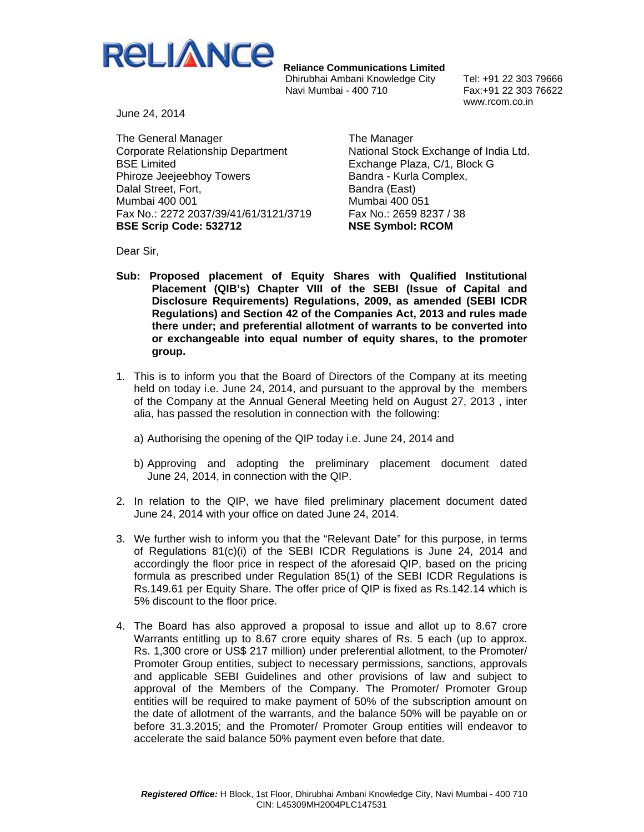

 **Reliance Communications Limited**

Dhirubhai Ambani Knowledge City Tel: +91 22 303 79666 Navi Mumbai - 400 710 Fax:+91 22 303 76622

www.rcom.co.in

June 24, 2014

The General Manager Corporate Relationship Department BSE Limited Phiroze Jeejeebhoy Towers Dalal Street, Fort, Mumbai 400 001 Fax No.: 2272 2037/39/41/61/3121/3719 **BSE Scrip Code: 532712** 

The Manager National Stock Exchange of India Ltd. Exchange Plaza, C/1, Block G Bandra - Kurla Complex, Bandra (East) Mumbai 400 051 Fax No.: 2659 8237 / 38 **NSE Symbol: RCOM** 

Dear Sir,

- **Sub: Proposed placement of Equity Shares with Qualified Institutional Placement (QIB's) Chapter VIII of the SEBI (Issue of Capital and Disclosure Requirements) Regulations, 2009, as amended (SEBI ICDR Regulations) and Section 42 of the Companies Act, 2013 and rules made there under; and preferential allotment of warrants to be converted into or exchangeable into equal number of equity shares, to the promoter group.**
- 1. This is to inform you that the Board of Directors of the Company at its meeting held on today i.e. June 24, 2014, and pursuant to the approval by the members of the Company at the Annual General Meeting held on August 27, 2013 , inter alia, has passed the resolution in connection with the following:
	- a) Authorising the opening of the QIP today i.e. June 24, 2014 and
	- b) Approving and adopting the preliminary placement document dated June 24, 2014, in connection with the QIP.
- 2. In relation to the QIP, we have filed preliminary placement document dated June 24, 2014 with your office on dated June 24, 2014.
- 3. We further wish to inform you that the "Relevant Date" for this purpose, in terms of Regulations 81(c)(i) of the SEBI ICDR Regulations is June 24, 2014 and accordingly the floor price in respect of the aforesaid QIP, based on the pricing formula as prescribed under Regulation 85(1) of the SEBI ICDR Regulations is Rs.149.61 per Equity Share. The offer price of QIP is fixed as Rs.142.14 which is 5% discount to the floor price.
- 4. The Board has also approved a proposal to issue and allot up to 8.67 crore Warrants entitling up to 8.67 crore equity shares of Rs. 5 each (up to approx. Rs. 1,300 crore or US\$ 217 million) under preferential allotment, to the Promoter/ Promoter Group entities, subject to necessary permissions, sanctions, approvals and applicable SEBI Guidelines and other provisions of law and subject to approval of the Members of the Company. The Promoter/ Promoter Group entities will be required to make payment of 50% of the subscription amount on the date of allotment of the warrants, and the balance 50% will be payable on or before 31.3.2015; and the Promoter/ Promoter Group entities will endeavor to accelerate the said balance 50% payment even before that date.